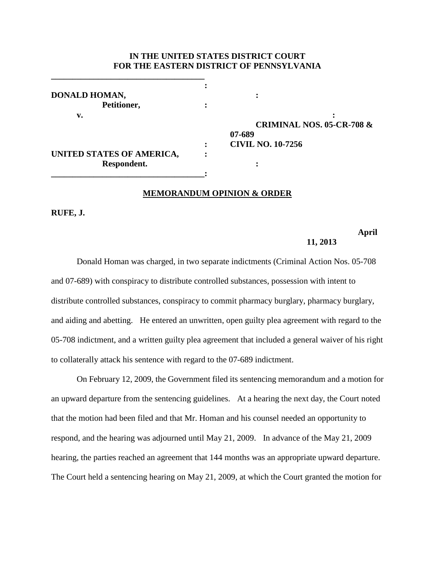## **IN THE UNITED STATES DISTRICT COURT FOR THE EASTERN DISTRICT OF PENNSYLVANIA**

| DONALD HOMAN,             |                          |
|---------------------------|--------------------------|
| Petitioner,               |                          |
| v.                        |                          |
|                           | <b>CRIMINAL NOS. 05-</b> |
|                           | 07-689                   |
|                           | <b>CIVIL NO. 10-7256</b> |
| UNITED STATES OF AMERICA, |                          |
| Respondent.               |                          |
|                           |                          |

**\_\_\_\_\_\_\_\_\_\_\_\_\_\_\_\_\_\_\_\_\_\_\_\_\_\_\_\_\_\_\_\_\_\_\_\_**

**CRIMINAL NOS. 05-CR-708 & 07-689 : CIVIL NO. 10-7256**

## **MEMORANDUM OPINION & ORDER**

**RUFE, J.**

# **April**

#### **11, 2013**

Donald Homan was charged, in two separate indictments (Criminal Action Nos. 05-708 and 07-689) with conspiracy to distribute controlled substances, possession with intent to distribute controlled substances, conspiracy to commit pharmacy burglary, pharmacy burglary, and aiding and abetting. He entered an unwritten, open guilty plea agreement with regard to the 05-708 indictment, and a written guilty plea agreement that included a general waiver of his right to collaterally attack his sentence with regard to the 07-689 indictment.

On February 12, 2009, the Government filed its sentencing memorandum and a motion for an upward departure from the sentencing guidelines. At a hearing the next day, the Court noted that the motion had been filed and that Mr. Homan and his counsel needed an opportunity to respond, and the hearing was adjourned until May 21, 2009. In advance of the May 21, 2009 hearing, the parties reached an agreement that 144 months was an appropriate upward departure. The Court held a sentencing hearing on May 21, 2009, at which the Court granted the motion for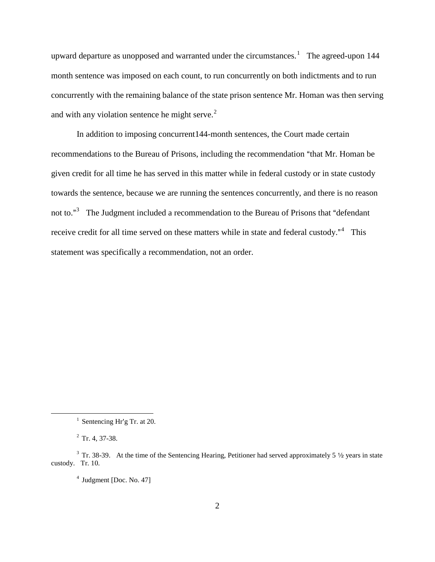upward departure as unopposed and warranted under the circumstances.<sup>[1](#page-1-0)</sup> The agreed-upon 144 month sentence was imposed on each count, to run concurrently on both indictments and to run concurrently with the remaining balance of the state prison sentence Mr. Homan was then serving and with any violation sentence he might serve. $2$ 

In addition to imposing concurrent144-month sentences, the Court made certain recommendations to the Bureau of Prisons, including the recommendation "that Mr. Homan be given credit for all time he has served in this matter while in federal custody or in state custody towards the sentence, because we are running the sentences concurrently, and there is no reason not to."<sup>[3](#page-1-2)</sup> The Judgment included a recommendation to the Bureau of Prisons that "defendant receive credit for all time served on these matters while in state and federal custody. $^{\cdot n4}$  $^{\cdot n4}$  $^{\cdot n4}$  This statement was specifically a recommendation, not an order.

 $1$  Sentencing Hr'g Tr. at 20.

 $2$  Tr. 4, 37-38.

<span id="page-1-3"></span><span id="page-1-2"></span><span id="page-1-1"></span><span id="page-1-0"></span> $3$  Tr. 38-39. At the time of the Sentencing Hearing, Petitioner had served approximately 5  $\frac{1}{2}$  years in state custody. Tr. 10.

 $4$  Judgment [Doc. No. 47]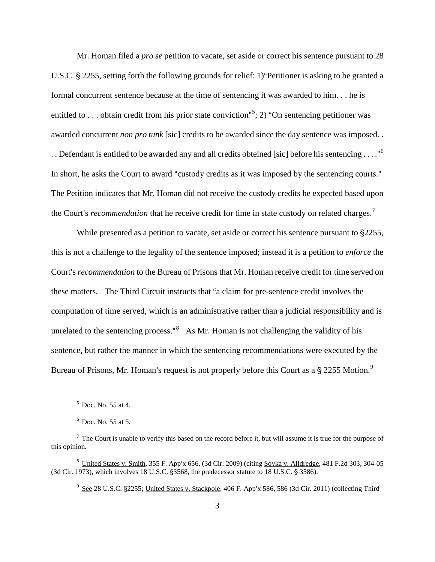Mr. Homan filed a *pro se* petition to vacate, set aside or correct his sentence pursuant to 28 U.S.C. § 2255, setting forth the following grounds for relief: 1) "Petitioner is asking to be granted a formal concurrent sentence because at the time of sentencing it was awarded to him. . . he is entitled to . . . obtain credit from his prior state conviction"<sup>[5](#page-2-0)</sup>; 2) "On sentencing petitioner was awarded concurrent *non pro tunk* [sic] credits to be awarded since the day sentence was imposed. . . . Defendant is entitled to be awarded any and all credits obteined [sic] before his sentencing . . . . "<sup>[6](#page-2-1)</sup> In short, he asks the Court to award "custody credits as it was imposed by the sentencing courts." The Petition indicates that Mr. Homan did not receive the custody credits he expected based upon the Court's *recommendation* that he receive credit for time in state custody on related charges.<sup>[7](#page-2-2)</sup>

While presented as a petition to vacate, set aside or correct his sentence pursuant to  $\S2255$ , this is not a challenge to the legality of the sentence imposed; instead it is a petition to *enforce* the Court's *recommendation* to the Bureau of Prisons that Mr. Homan receive credit for time served on these matters. The Third Circuit instructs that "a claim for pre-sentence credit involves the computation of time served, which is an administrative rather than a judicial responsibility and is unrelated to the sentencing process." $8$  As Mr. Homan is not challenging the validity of his sentence, but rather the manner in which the sentencing recommendations were executed by the Bureau of Prisons, Mr. Homan's request is not properly before this Court as a § 2255 Motion.<sup>[9](#page-2-4)</sup>

 $5$  Doc. No. 55 at 4.

 $6$  Doc. No. 55 at 5.

<span id="page-2-2"></span><span id="page-2-1"></span><span id="page-2-0"></span> $<sup>7</sup>$  The Court is unable to verify this based on the record before it, but will assume it is true for the purpose of</sup> this opinion.

<span id="page-2-4"></span><span id="page-2-3"></span> $8$  United States v. Smith, 355 F. App'x 656, (3d Cir. 2009) (citing Soyka v. Alldredge, 481 F.2d 303, 304-05  $(3d$  Cir. 1973), which involves 18 U.S.C.  $\S$ 3568, the predecessor statute to 18 U.S.C.  $\S$ 3586).

<sup>&</sup>lt;sup>9</sup> See 28 U.S.C. §2255; United States v. Stackpole, 406 F. App'x 586, 586 (3d Cir. 2011) (collecting Third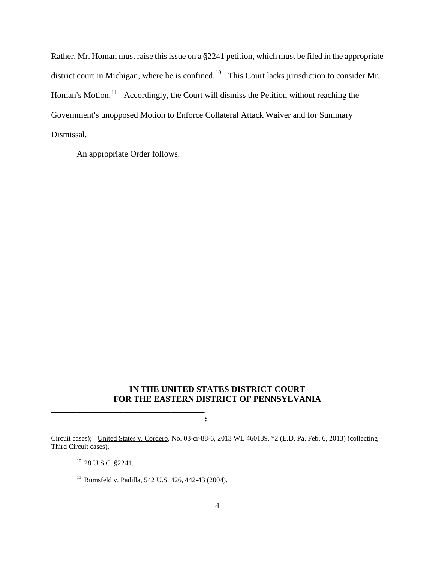Rather, Mr. Homan must raise this issue on a §2241 petition, which must be filed in the appropriate district court in Michigan, where he is confined.<sup>10</sup> This Court lacks jurisdiction to consider Mr. Homan's Motion.<sup>11</sup> Accordingly, the Court will dismiss the Petition without reaching the Government's unopposed Motion to Enforce Collateral Attack Waiver and for Summary Dismissal.

An appropriate Order follows.

### **IN THE UNITED STATES DISTRICT COURT FOR THE EASTERN DISTRICT OF PENNSYLVANIA**

**:**

<span id="page-3-1"></span><span id="page-3-0"></span>Circuit cases); United States v. Cordero, No. 03-cr-88-6, 2013 WL 460139, \*2 (E.D. Pa. Feb. 6, 2013) (collecting Third Circuit cases).

 $10$  28 U.S.C.  $\S2241$ .

 $\overline{a}$ 

**\_\_\_\_\_\_\_\_\_\_\_\_\_\_\_\_\_\_\_\_\_\_\_\_\_\_\_\_\_\_\_\_\_\_\_\_**

<sup>11</sup> Rumsfeld v. Padilla, 542 U.S. 426, 442-43 (2004).